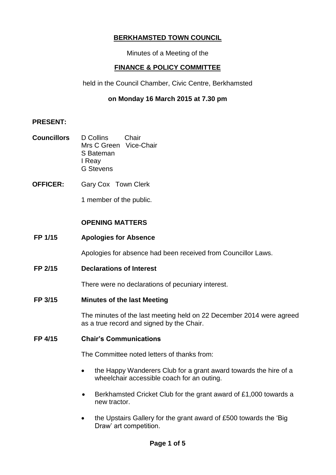# **BERKHAMSTED TOWN COUNCIL**

Minutes of a Meeting of the

# **FINANCE & POLICY COMMITTEE**

held in the Council Chamber, Civic Centre, Berkhamsted

# **on Monday 16 March 2015 at 7.30 pm**

### **PRESENT:**

- **Councillors** D Collins Chair Mrs C Green Vice-Chair S Bateman I Reay G Stevens
- **OFFICER:** Gary Cox Town Clerk

1 member of the public.

# **OPENING MATTERS**

## **FP 1/15 Apologies for Absence**

Apologies for absence had been received from Councillor Laws.

**FP 2/15 Declarations of Interest** 

There were no declarations of pecuniary interest.

**FP 3/15 Minutes of the last Meeting** 

The minutes of the last meeting held on 22 December 2014 were agreed as a true record and signed by the Chair.

## **FP 4/15 Chair's Communications**

The Committee noted letters of thanks from:

- the Happy Wanderers Club for a grant award towards the hire of a wheelchair accessible coach for an outing.
- Berkhamsted Cricket Club for the grant award of £1,000 towards a new tractor.
- the Upstairs Gallery for the grant award of £500 towards the 'Big Draw' art competition.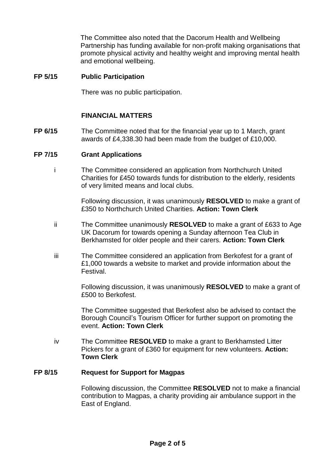The Committee also noted that the Dacorum Health and Wellbeing Partnership has funding available for non-profit making organisations that promote physical activity and healthy weight and improving mental health and emotional wellbeing.

### **FP 5/15 Public Participation**

There was no public participation.

# **FINANCIAL MATTERS**

**FP 6/15** The Committee noted that for the financial year up to 1 March, grant awards of £4,338.30 had been made from the budget of £10,000.

#### **FP 7/15 Grant Applications**

i The Committee considered an application from Northchurch United Charities for £450 towards funds for distribution to the elderly, residents of very limited means and local clubs.

> Following discussion, it was unanimously **RESOLVED** to make a grant of £350 to Northchurch United Charities. **Action: Town Clerk**

- ii The Committee unanimously **RESOLVED** to make a grant of £633 to Age UK Dacorum for towards opening a Sunday afternoon Tea Club in Berkhamsted for older people and their carers. **Action: Town Clerk**
- iii The Committee considered an application from Berkofest for a grant of £1,000 towards a website to market and provide information about the Festival.

Following discussion, it was unanimously **RESOLVED** to make a grant of £500 to Berkofest.

The Committee suggested that Berkofest also be advised to contact the Borough Council's Tourism Officer for further support on promoting the event. **Action: Town Clerk**

iv The Committee **RESOLVED** to make a grant to Berkhamsted Litter Pickers for a grant of £360 for equipment for new volunteers. **Action: Town Clerk**

#### **FP 8/15 Request for Support for Magpas**

Following discussion, the Committee **RESOLVED** not to make a financial contribution to Magpas, a charity providing air ambulance support in the East of England.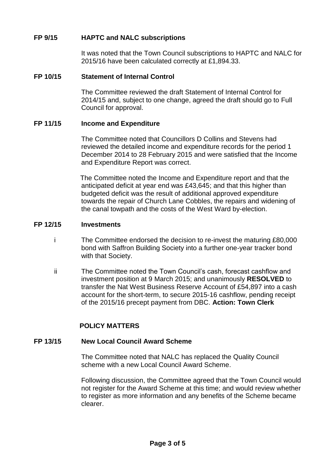# **FP 9/15 HAPTC and NALC subscriptions**

It was noted that the Town Council subscriptions to HAPTC and NALC for 2015/16 have been calculated correctly at £1,894.33.

## **FP 10/15 Statement of Internal Control**

The Committee reviewed the draft Statement of Internal Control for 2014/15 and, subject to one change, agreed the draft should go to Full Council for approval.

### **FP 11/15 Income and Expenditure**

The Committee noted that Councillors D Collins and Stevens had reviewed the detailed income and expenditure records for the period 1 December 2014 to 28 February 2015 and were satisfied that the Income and Expenditure Report was correct.

The Committee noted the Income and Expenditure report and that the anticipated deficit at year end was £43,645; and that this higher than budgeted deficit was the result of additional approved expenditure towards the repair of Church Lane Cobbles, the repairs and widening of the canal towpath and the costs of the West Ward by-election.

#### **FP 12/15 Investments**

- i The Committee endorsed the decision to re-invest the maturing £80,000 bond with Saffron Building Society into a further one-year tracker bond with that Society.
- ii The Committee noted the Town Council's cash, forecast cashflow and investment position at 9 March 2015; and unanimously **RESOLVED** to transfer the Nat West Business Reserve Account of £54,897 into a cash account for the short-term, to secure 2015-16 cashflow, pending receipt of the 2015/16 precept payment from DBC. **Action: Town Clerk**

# **POLICY MATTERS**

### **FP 13/15 New Local Council Award Scheme**

The Committee noted that NALC has replaced the Quality Council scheme with a new Local Council Award Scheme.

Following discussion, the Committee agreed that the Town Council would not register for the Award Scheme at this time; and would review whether to register as more information and any benefits of the Scheme became clearer.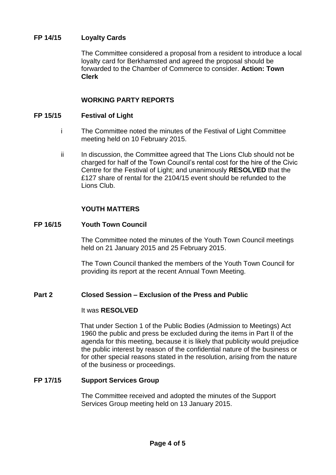# **FP 14/15 Loyalty Cards**

The Committee considered a proposal from a resident to introduce a local loyalty card for Berkhamsted and agreed the proposal should be forwarded to the Chamber of Commerce to consider. **Action: Town Clerk**

# **WORKING PARTY REPORTS**

#### **FP 15/15 Festival of Light**

- i The Committee noted the minutes of the Festival of Light Committee meeting held on 10 February 2015.
- ii In discussion, the Committee agreed that The Lions Club should not be charged for half of the Town Council's rental cost for the hire of the Civic Centre for the Festival of Light; and unanimously **RESOLVED** that the £127 share of rental for the 2104/15 event should be refunded to the Lions Club.

### **YOUTH MATTERS**

#### **FP 16/15 Youth Town Council**

The Committee noted the minutes of the Youth Town Council meetings held on 21 January 2015 and 25 February 2015.

The Town Council thanked the members of the Youth Town Council for providing its report at the recent Annual Town Meeting.

### **Part 2 Closed Session – Exclusion of the Press and Public**

#### It was **RESOLVED**

That under Section 1 of the Public Bodies (Admission to Meetings) Act 1960 the public and press be excluded during the items in Part II of the agenda for this meeting, because it is likely that publicity would prejudice the public interest by reason of the confidential nature of the business or for other special reasons stated in the resolution, arising from the nature of the business or proceedings.

#### **FP 17/15 Support Services Group**

The Committee received and adopted the minutes of the Support Services Group meeting held on 13 January 2015.